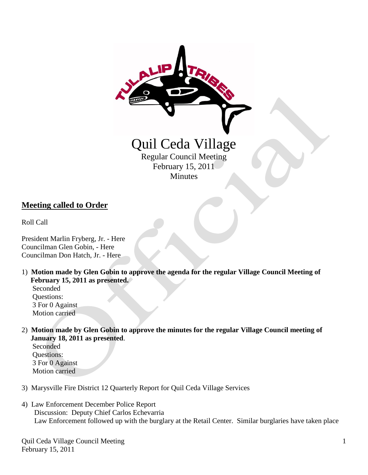

### **Meeting called to Order**

Roll Call

President Marlin Fryberg, Jr. - Here Councilman Glen Gobin, - Here Councilman Don Hatch, Jr. - Here

1) **Motion made by Glen Gobin to approve the agenda for the regular Village Council Meeting of February 15, 2011 as presented.**

 Seconded Questions: 3 For 0 Against Motion carried

2) **Motion made by Glen Gobin to approve the minutes for the regular Village Council meeting of January 18, 2011 as presented**.

 Seconded Questions: 3 For 0 Against Motion carried

- 3) Marysville Fire District 12 Quarterly Report for Quil Ceda Village Services
- 4) Law Enforcement December Police Report Discussion: Deputy Chief Carlos Echevarria Law Enforcement followed up with the burglary at the Retail Center. Similar burglaries have taken place

Quil Ceda Village Council Meeting February 15, 2011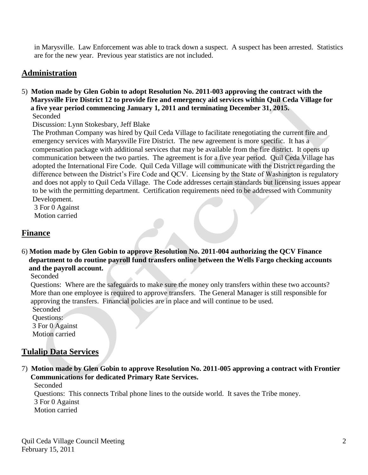in Marysville. Law Enforcement was able to track down a suspect. A suspect has been arrested. Statistics are for the new year. Previous year statistics are not included.

# **Administration**

5) **Motion made by Glen Gobin to adopt Resolution No. 2011-003 approving the contract with the Marysville Fire District 12 to provide fire and emergency aid services within Quil Ceda Village for a five year period commencing January 1, 2011 and terminating December 31, 2015.** Seconded

Discussion: Lynn Stokesbary, Jeff Blake

 The Prothman Company was hired by Quil Ceda Village to facilitate renegotiating the current fire and emergency services with Marysville Fire District. The new agreement is more specific. It has a compensation package with additional services that may be available from the fire district. It opens up communication between the two parties. The agreement is for a five year period. Quil Ceda Village has adopted the International Fire Code. Quil Ceda Village will communicate with the District regarding the difference between the District's Fire Code and QCV. Licensing by the State of Washington is regulatory and does not apply to Quil Ceda Village. The Code addresses certain standards but licensing issues appear to be with the permitting department. Certification requirements need to be addressed with Community Development.

 3 For 0 Against Motion carried

### **Finance**

6) **Motion made by Glen Gobin to approve Resolution No. 2011-004 authorizing the QCV Finance department to do routine payroll fund transfers online between the Wells Fargo checking accounts and the payroll account.**

Seconded

 Questions: Where are the safeguards to make sure the money only transfers within these two accounts? More than one employee is required to approve transfers. The General Manager is still responsible for approving the transfers. Financial policies are in place and will continue to be used.

Seconded

 Questions: 3 For 0 Against Motion carried

## **Tulalip Data Services**

7) **Motion made by Glen Gobin to approve Resolution No. 2011-005 approving a contract with Frontier Communications for dedicated Primary Rate Services.**

 Seconded Questions: This connects Tribal phone lines to the outside world. It saves the Tribe money. 3 For 0 Against Motion carried